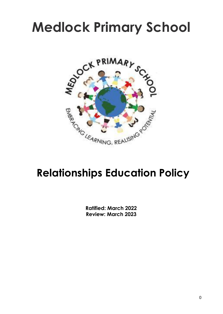# **Medlock Primary School**



# **Relationships Education Policy**

**Ratified: March 2022 Review: March 2023**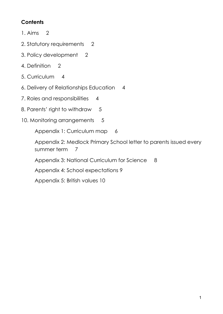# **Contents**

- 1. Aims 2
- 2. Statutory requirements 2
- 3. Policy development 2
- 4. Definition 2
- 5. Curriculum 4
- 6. Delivery of Relationships Education 4
- 7. Roles and responsibilities 4
- 8. Parents' right to withdraw 5
- 10. Monitoring arrangements 5

Appendix 1: Curriculum map 6

Appendix 2: Medlock Primary School letter to parents issued every summer term 7

Appendix 3: National Curriculum for Science 8

Appendix 4: School expectations 9

Appendix 5: British values 10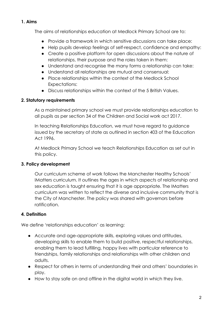#### **1. Aims**

The aims of relationships education at Medlock Primary School are to:

- Provide a framework in which sensitive discussions can take place:
- Help pupils develop feelings of self-respect, confidence and empathy:
- Create a positive platform for open discussions about the nature of relationships, their purpose and the roles taken in them:
- Understand and recognise the many forms a relationship can take:
- Understand all relationships are mutual and consensual:
- Place relationships within the context of the Medlock School Expectations:
- Discuss relationships within the context of the 5 British Values.

### **2. Statutory requirements**

As a maintained primary school we must provide relationships education to all pupils as per section 34 of the Children and Social work act 2017.

In teaching Relationships Education, we must have regard to guidance issued by the secretary of state as outlined in section 403 of the Education Act 1996.

At Medlock Primary School we teach Relationships Education as set out in this policy.

### **3. Policy development**

Our curriculum scheme of work follows the Manchester Healthy Schools' IMatters curriculum. It outlines the ages in which aspects of relationship and sex education is taught ensuring that it is age appropriate. The IMatters curriculum was written to reflect the diverse and inclusive community that is the City of Manchester. The policy was shared with governors before ratification.

## **4. Definition**

We define 'relationships education' as learning:

- Accurate and age-appropriate skills, exploring values and attitudes, developing skills to enable them to build positive, respectful relationships, enabling them to lead fulfilling, happy lives with particular reference to friendships, family relationships and relationships with other children and adults.
- Respect for others in terms of understanding their and others' boundaries in play.
- How to stay safe on and offline in the digital world in which they live.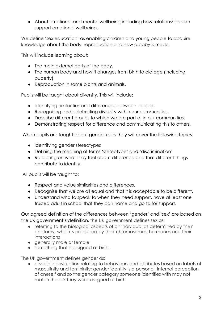● About emotional and mental wellbeing including how relationships can support emotional wellbeing.

We define 'sex education' as enabling children and young people to acquire knowledge about the body, reproduction and how a baby is made.

This will include learning about:

- The main external parts of the body.
- The human body and how it changes from birth to old age (including puberty)
- Reproduction in some plants and animals.

Pupils will be taught about diversity. This will include:

- Identifying similarities and differences between people.
- Recognising and celebrating diversity within our communities.
- Describe different groups to which we are part of in our communities.
- Demonstrating respect for difference and communicating this to others.

When pupils are taught about gender roles they will cover the following topics:

- Identifying gender stereotypes
- Defining the meaning of terms 'stereotype' and 'discrimination'
- Reflecting on what they feel about difference and that different things contribute to identity.

All pupils will be taught to:

- Respect and value similarities and differences.
- Recognise that we are all equal and that it is acceptable to be different.
- Understand who to speak to when they need support, have at least one trusted adult in school that they can name and go to for support.

Our agreed definition of the differences between 'gender' and 'sex' are based on the UK government's definition, the UK government defines sex as:

- referring to the biological aspects of an individual as determined by their anatomy, which is produced by their chromosomes, hormones and their interactions
- generally male or female
- something that is assigned at birth.

The UK government defines gender as:

● a social construction relating to behaviours and attributes based on labels of masculinity and femininity; gender identity is a personal, internal perception of oneself and so the gender category someone identifies with may not match the sex they were assigned at birth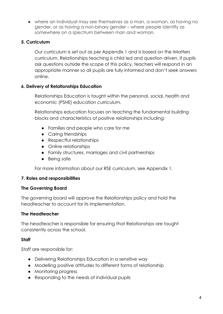• where an individual may see themselves as a man, a woman, as having no gender, or as having a non-binary gender – where people identify as somewhere on a spectrum between man and woman.

#### **5. Curriculum**

Our curriculum is set out as per Appendix 1 and is based on the IMatters curriculum. Relationships teaching is child led and question driven. If pupils ask questions outside the scope of this policy, teachers will respond in an appropriate manner so all pupils are fully informed and don't seek answers online.

#### **6. Delivery of Relationships Education**

Relationships Education is taught within the personal, social, health and economic (PSHE) education curriculum.

Relationships education focuses on teaching the fundamental building blocks and characteristics of positive relationships including:

- Families and people who care for me
- Caring friendships
- Respectful relationships
- Online relationships
- Family structures, marriages and civil partnerships
- Being safe

For more information about our RSE curriculum, see Appendix 1.

#### **7. Roles and responsibilities**

#### **The Governing Board**

The governing board will approve the Relationships policy and hold the headteacher to account for its implementation.

#### **The Headteacher**

The headteacher is responsible for ensuring that Relationships are taught consistently across the school.

#### **Staff**

Staff are responsible for:

- Delivering Relationships Education in a sensitive way
- Modelling positive attitudes to different forms of relationship
- Monitoring progress
- Responding to the needs of individual pupils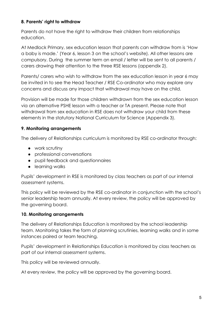#### **8. Parents' right to withdraw**

Parents do not have the right to withdraw their children from relationships education.

At Medlock Primary, sex education lesson that parents can withdraw from is 'How a baby is made.' (Year 6, lesson 3 on the school's website). All other lessons are compulsory. During the summer term an email / letter will be sent to all parents / carers drawing their attention to the three RSE lessons (appendix 2).

Parents/ carers who wish to withdraw from the sex education lesson in year 6 may be invited in to see the Head Teacher / RSE Co-ordinator who may explore any concerns and discuss any impact that withdrawal may have on the child.

Provision will be made for those children withdrawn from the sex education lesson via an alternative PSHE lesson with a teacher or TA present. Please note that withdrawal from sex education in RSE does not withdraw your child from these elements in the statutory National Curriculum for Science (Appendix 3).

#### **9. Monitoring arrangements**

The delivery of Relationships curriculum is monitored by RSE co-ordinator through:

- work scrutiny
- professional conversations
- pupil feedback and questionnaires
- learning walks

Pupils' development in RSE is monitored by class teachers as part of our internal assessment systems.

This policy will be reviewed by the RSE co-ordinator in conjunction with the school's senior leadership team annually. At every review, the policy will be approved by the governing board.

#### **10. Monitoring arrangements**

The delivery of Relationships Education is monitored by the school leadership team. Monitoring takes the form of planning scrutinies, learning walks and in some instances paired or team teaching.

Pupils' development in Relationships Education is monitored by class teachers as part of our internal assessment systems.

This policy will be reviewed annually.

At every review, the policy will be approved by the governing board.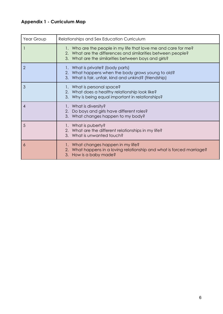# **Appendix 1 - Curriculum Map**

| Year Group | Relationships and Sex Education Curriculum                                                                                                                                             |
|------------|----------------------------------------------------------------------------------------------------------------------------------------------------------------------------------------|
|            | 1. Who are the people in my life that love me and care for me?<br>2. What are the differences and similarities between people?<br>3. What are the similarities between boys and girls? |
| 2          | 1. What is private? (body parts)<br>2. What happens when the body grows young to old?<br>3. What is fair, unfair, kind and unkind? (friendship)                                        |
| 3          | 1. What is personal space?<br>2. What does a healthy relationship look like?<br>3. Why is being equal important in relationships?                                                      |
| 4          | 1. What is diversity?<br>2. Do boys and girls have different roles?<br>3. What changes happen to my body?                                                                              |
| 5          | 1. What is puberty?<br>2. What are the different relationships in my life?<br>3. What is unwanted touch?                                                                               |
| 6          | 1. What changes happen in my life?<br>2. What happens in a loving relationship and what is forced marriage?<br>3. How is a baby made?                                                  |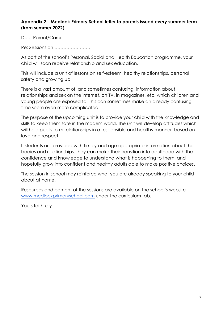#### **Appendix 2 - Medlock Primary School letter to parents issued every summer term (from summer 2022)**

Dear Parent/Carer

Re: Sessions on …………………….

As part of the school's Personal, Social and Health Education programme, your child will soon receive relationship and sex education.

This will include a unit of lessons on self-esteem, healthy relationships, personal safety and growing up.

There is a vast amount of, and sometimes confusing, information about relationships and sex on the internet, on TV, in magazines, etc. which children and young people are exposed to. This can sometimes make an already confusing time seem even more complicated.

The purpose of the upcoming unit is to provide your child with the knowledge and skills to keep them safe in the modern world. The unit will develop attitudes which will help pupils form relationships in a responsible and healthy manner, based on love and respect.

If students are provided with timely and age appropriate information about their bodies and relationships, they can make their transition into adulthood with the confidence and knowledge to understand what is happening to them, and hopefully grow into confident and healthy adults able to make positive choices.

The session in school may reinforce what you are already speaking to your child about at home.

Resources and content of the sessions are available on the school's website [www.medlockprimaryschool.com](http://www.medlockprimaryschool.com) under the curriculum tab.

Yours faithfully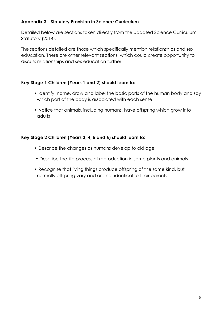#### **Appendix 3 - Statutory Provision in Science Curriculum**

Detailed below are sections taken directly from the updated Science Curriculum Statutory (2014).

The sections detailed are those which specifically mention relationships and sex education. There are other relevant sections, which could create opportunity to discuss relationships and sex education further.

#### **Key Stage 1 Children (Years 1 and 2) should learn to:**

- Identify, name, draw and label the basic parts of the human body and say which part of the body is associated with each sense
- Notice that animals, including humans, have offspring which grow into adults

#### **Key Stage 2 Children (Years 3, 4, 5 and 6) should learn to:**

- Describe the changes as humans develop to old age
- Describe the life process of reproduction in some plants and animals
- Recognise that living things produce offspring of the same kind, but normally offspring vary and are not identical to their parents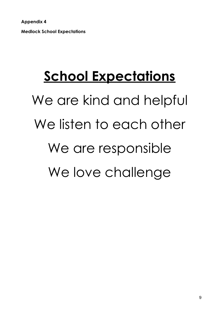**Appendix 4 Medlock School Expectations**

# **School Expectations**

We are kind and helpful We listen to each other We are responsible We love challenge